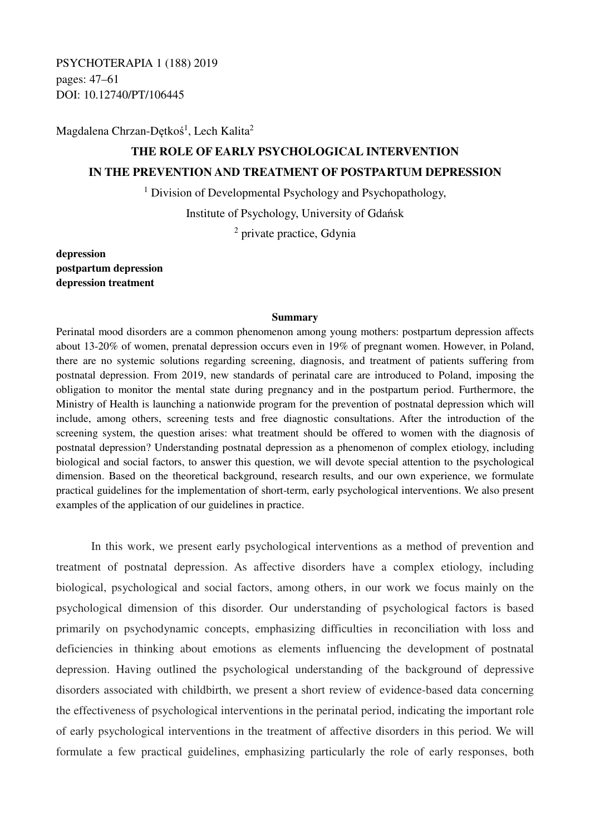PSYCHOTERAPIA 1 (188) 2019 pages: 47–61 DOI: 10.12740/PT/106445

Magdalena Chrzan-Dętkoś<sup>1</sup>, Lech Kalita<sup>2</sup>

# **THE ROLE OF EARLY PSYCHOLOGICAL INTERVENTION IN THE PREVENTION AND TREATMENT OF POSTPARTUM DEPRESSION**

<sup>1</sup> Division of Developmental Psychology and Psychopathology,

Institute of Psychology, University of Gdańsk

<sup>2</sup> private practice, Gdynia

**depression postpartum depression depression treatment** 

#### **Summary**

Perinatal mood disorders are a common phenomenon among young mothers: postpartum depression affects about 13-20% of women, prenatal depression occurs even in 19% of pregnant women. However, in Poland, there are no systemic solutions regarding screening, diagnosis, and treatment of patients suffering from postnatal depression. From 2019, new standards of perinatal care are introduced to Poland, imposing the obligation to monitor the mental state during pregnancy and in the postpartum period. Furthermore, the Ministry of Health is launching a nationwide program for the prevention of postnatal depression which will include, among others, screening tests and free diagnostic consultations. After the introduction of the screening system, the question arises: what treatment should be offered to women with the diagnosis of postnatal depression? Understanding postnatal depression as a phenomenon of complex etiology, including biological and social factors, to answer this question, we will devote special attention to the psychological dimension. Based on the theoretical background, research results, and our own experience, we formulate practical guidelines for the implementation of short-term, early psychological interventions. We also present examples of the application of our guidelines in practice.

In this work, we present early psychological interventions as a method of prevention and treatment of postnatal depression. As affective disorders have a complex etiology, including biological, psychological and social factors, among others, in our work we focus mainly on the psychological dimension of this disorder. Our understanding of psychological factors is based primarily on psychodynamic concepts, emphasizing difficulties in reconciliation with loss and deficiencies in thinking about emotions as elements influencing the development of postnatal depression. Having outlined the psychological understanding of the background of depressive disorders associated with childbirth, we present a short review of evidence-based data concerning the effectiveness of psychological interventions in the perinatal period, indicating the important role of early psychological interventions in the treatment of affective disorders in this period. We will formulate a few practical guidelines, emphasizing particularly the role of early responses, both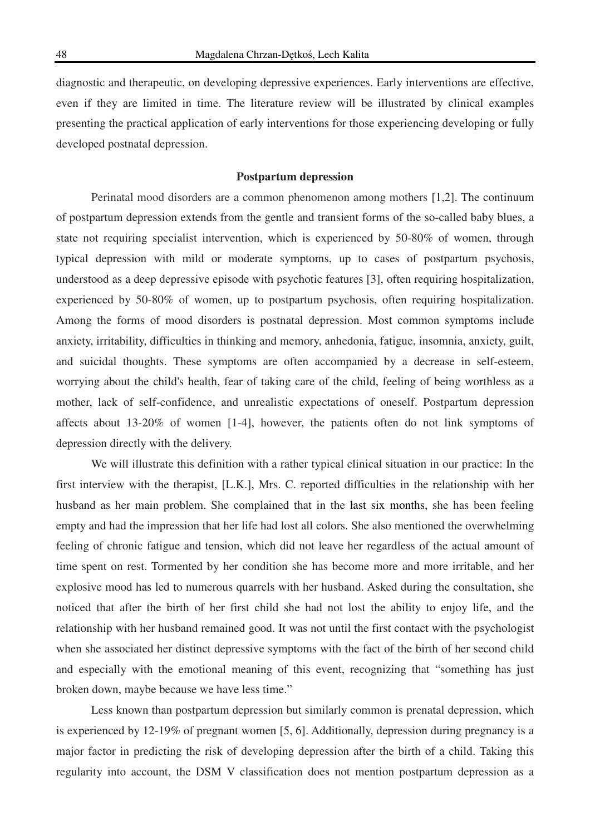diagnostic and therapeutic, on developing depressive experiences. Early interventions are effective, even if they are limited in time. The literature review will be illustrated by clinical examples presenting the practical application of early interventions for those experiencing developing or fully developed postnatal depression.

#### **Postpartum depression**

Perinatal mood disorders are a common phenomenon among mothers [1,2]. The continuum of postpartum depression extends from the gentle and transient forms of the so-called baby blues, a state not requiring specialist intervention, which is experienced by 50-80% of women, through typical depression with mild or moderate symptoms, up to cases of postpartum psychosis, understood as a deep depressive episode with psychotic features [3], often requiring hospitalization, experienced by 50-80% of women, up to postpartum psychosis, often requiring hospitalization. Among the forms of mood disorders is postnatal depression. Most common symptoms include anxiety, irritability, difficulties in thinking and memory, anhedonia, fatigue, insomnia, anxiety, guilt, and suicidal thoughts. These symptoms are often accompanied by a decrease in self-esteem, worrying about the child's health, fear of taking care of the child, feeling of being worthless as a mother, lack of self-confidence, and unrealistic expectations of oneself. Postpartum depression affects about 13-20% of women [1-4], however, the patients often do not link symptoms of depression directly with the delivery.

We will illustrate this definition with a rather typical clinical situation in our practice: In the first interview with the therapist, [L.K.], Mrs. C. reported difficulties in the relationship with her husband as her main problem. She complained that in the last six months, she has been feeling empty and had the impression that her life had lost all colors. She also mentioned the overwhelming feeling of chronic fatigue and tension, which did not leave her regardless of the actual amount of time spent on rest. Tormented by her condition she has become more and more irritable, and her explosive mood has led to numerous quarrels with her husband. Asked during the consultation, she noticed that after the birth of her first child she had not lost the ability to enjoy life, and the relationship with her husband remained good. It was not until the first contact with the psychologist when she associated her distinct depressive symptoms with the fact of the birth of her second child and especially with the emotional meaning of this event, recognizing that "something has just broken down, maybe because we have less time."

Less known than postpartum depression but similarly common is prenatal depression, which is experienced by 12-19% of pregnant women [5, 6]. Additionally, depression during pregnancy is a major factor in predicting the risk of developing depression after the birth of a child. Taking this regularity into account, the DSM V classification does not mention postpartum depression as a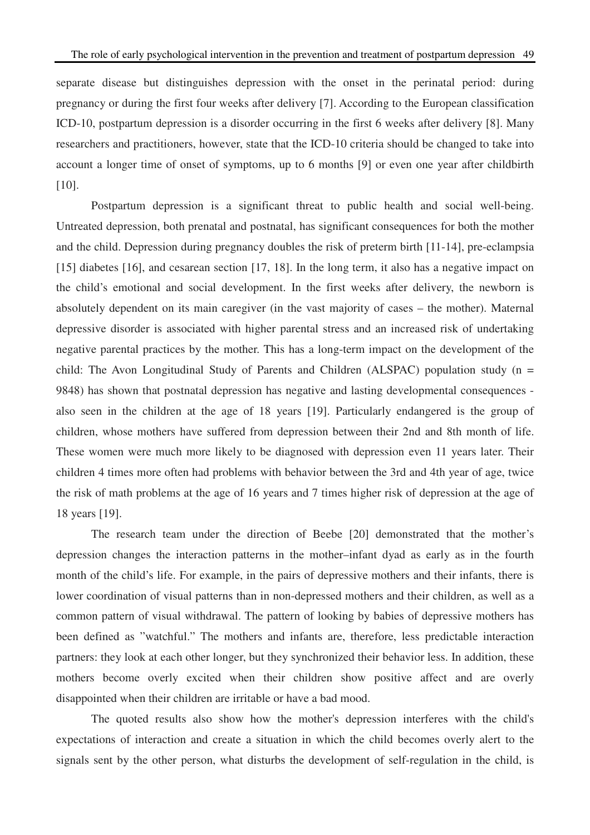separate disease but distinguishes depression with the onset in the perinatal period: during pregnancy or during the first four weeks after delivery [7]. According to the European classification ICD-10, postpartum depression is a disorder occurring in the first 6 weeks after delivery [8]. Many researchers and practitioners, however, state that the ICD-10 criteria should be changed to take into account a longer time of onset of symptoms, up to 6 months [9] or even one year after childbirth [10].

 Postpartum depression is a significant threat to public health and social well-being. Untreated depression, both prenatal and postnatal, has significant consequences for both the mother and the child. Depression during pregnancy doubles the risk of preterm birth [11-14], pre-eclampsia [15] diabetes [16], and cesarean section [17, 18]. In the long term, it also has a negative impact on the child's emotional and social development. In the first weeks after delivery, the newborn is absolutely dependent on its main caregiver (in the vast majority of cases – the mother). Maternal depressive disorder is associated with higher parental stress and an increased risk of undertaking negative parental practices by the mother. This has a long-term impact on the development of the child: The Avon Longitudinal Study of Parents and Children (ALSPAC) population study ( $n =$ 9848) has shown that postnatal depression has negative and lasting developmental consequences also seen in the children at the age of 18 years [19]. Particularly endangered is the group of children, whose mothers have suffered from depression between their 2nd and 8th month of life. These women were much more likely to be diagnosed with depression even 11 years later. Their children 4 times more often had problems with behavior between the 3rd and 4th year of age, twice the risk of math problems at the age of 16 years and 7 times higher risk of depression at the age of 18 years [19].

The research team under the direction of Beebe [20] demonstrated that the mother's depression changes the interaction patterns in the mother–infant dyad as early as in the fourth month of the child's life. For example, in the pairs of depressive mothers and their infants, there is lower coordination of visual patterns than in non-depressed mothers and their children, as well as a common pattern of visual withdrawal. The pattern of looking by babies of depressive mothers has been defined as "watchful." The mothers and infants are, therefore, less predictable interaction partners: they look at each other longer, but they synchronized their behavior less. In addition, these mothers become overly excited when their children show positive affect and are overly disappointed when their children are irritable or have a bad mood.

The quoted results also show how the mother's depression interferes with the child's expectations of interaction and create a situation in which the child becomes overly alert to the signals sent by the other person, what disturbs the development of self-regulation in the child, is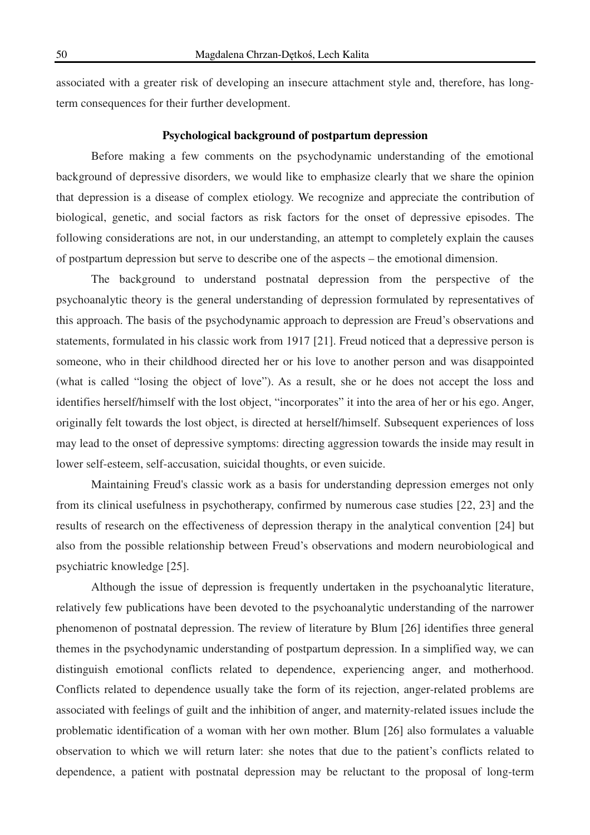associated with a greater risk of developing an insecure attachment style and, therefore, has longterm consequences for their further development.

### **Psychological background of postpartum depression**

Before making a few comments on the psychodynamic understanding of the emotional background of depressive disorders, we would like to emphasize clearly that we share the opinion that depression is a disease of complex etiology. We recognize and appreciate the contribution of biological, genetic, and social factors as risk factors for the onset of depressive episodes. The following considerations are not, in our understanding, an attempt to completely explain the causes of postpartum depression but serve to describe one of the aspects – the emotional dimension.

The background to understand postnatal depression from the perspective of the psychoanalytic theory is the general understanding of depression formulated by representatives of this approach. The basis of the psychodynamic approach to depression are Freud's observations and statements, formulated in his classic work from 1917 [21]. Freud noticed that a depressive person is someone, who in their childhood directed her or his love to another person and was disappointed (what is called "losing the object of love"). As a result, she or he does not accept the loss and identifies herself/himself with the lost object, "incorporates" it into the area of her or his ego. Anger, originally felt towards the lost object, is directed at herself/himself. Subsequent experiences of loss may lead to the onset of depressive symptoms: directing aggression towards the inside may result in lower self-esteem, self-accusation, suicidal thoughts, or even suicide.

Maintaining Freud's classic work as a basis for understanding depression emerges not only from its clinical usefulness in psychotherapy, confirmed by numerous case studies [22, 23] and the results of research on the effectiveness of depression therapy in the analytical convention [24] but also from the possible relationship between Freud's observations and modern neurobiological and psychiatric knowledge [25].

Although the issue of depression is frequently undertaken in the psychoanalytic literature, relatively few publications have been devoted to the psychoanalytic understanding of the narrower phenomenon of postnatal depression. The review of literature by Blum [26] identifies three general themes in the psychodynamic understanding of postpartum depression. In a simplified way, we can distinguish emotional conflicts related to dependence, experiencing anger, and motherhood. Conflicts related to dependence usually take the form of its rejection, anger-related problems are associated with feelings of guilt and the inhibition of anger, and maternity-related issues include the problematic identification of a woman with her own mother. Blum [26] also formulates a valuable observation to which we will return later: she notes that due to the patient's conflicts related to dependence, a patient with postnatal depression may be reluctant to the proposal of long-term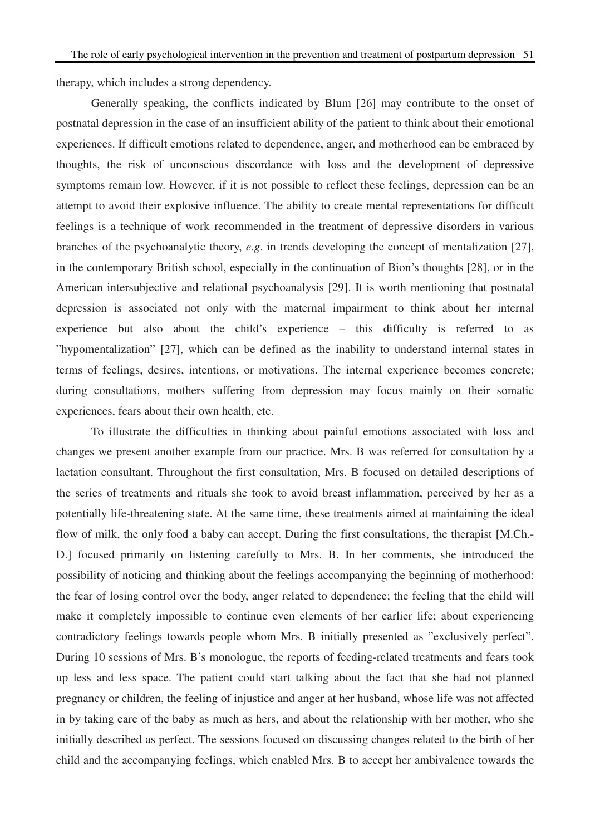therapy, which includes a strong dependency.

Generally speaking, the conflicts indicated by Blum [26] may contribute to the onset of postnatal depression in the case of an insufficient ability of the patient to think about their emotional experiences. If difficult emotions related to dependence, anger, and motherhood can be embraced by thoughts, the risk of unconscious discordance with loss and the development of depressive symptoms remain low. However, if it is not possible to reflect these feelings, depression can be an attempt to avoid their explosive influence. The ability to create mental representations for difficult feelings is a technique of work recommended in the treatment of depressive disorders in various branches of the psychoanalytic theory, *e.g*. in trends developing the concept of mentalization [27], in the contemporary British school, especially in the continuation of Bion's thoughts [28], or in the American intersubjective and relational psychoanalysis [29]. It is worth mentioning that postnatal depression is associated not only with the maternal impairment to think about her internal experience but also about the child's experience – this difficulty is referred to as "hypomentalization" [27], which can be defined as the inability to understand internal states in terms of feelings, desires, intentions, or motivations. The internal experience becomes concrete; during consultations, mothers suffering from depression may focus mainly on their somatic experiences, fears about their own health, etc.

To illustrate the difficulties in thinking about painful emotions associated with loss and changes we present another example from our practice. Mrs. B was referred for consultation by a lactation consultant. Throughout the first consultation, Mrs. B focused on detailed descriptions of the series of treatments and rituals she took to avoid breast inflammation, perceived by her as a potentially life-threatening state. At the same time, these treatments aimed at maintaining the ideal flow of milk, the only food a baby can accept. During the first consultations, the therapist [M.Ch.- D.] focused primarily on listening carefully to Mrs. B. In her comments, she introduced the possibility of noticing and thinking about the feelings accompanying the beginning of motherhood: the fear of losing control over the body, anger related to dependence; the feeling that the child will make it completely impossible to continue even elements of her earlier life; about experiencing contradictory feelings towards people whom Mrs. B initially presented as "exclusively perfect". During 10 sessions of Mrs. B's monologue, the reports of feeding-related treatments and fears took up less and less space. The patient could start talking about the fact that she had not planned pregnancy or children, the feeling of injustice and anger at her husband, whose life was not affected in by taking care of the baby as much as hers, and about the relationship with her mother, who she initially described as perfect. The sessions focused on discussing changes related to the birth of her child and the accompanying feelings, which enabled Mrs. B to accept her ambivalence towards the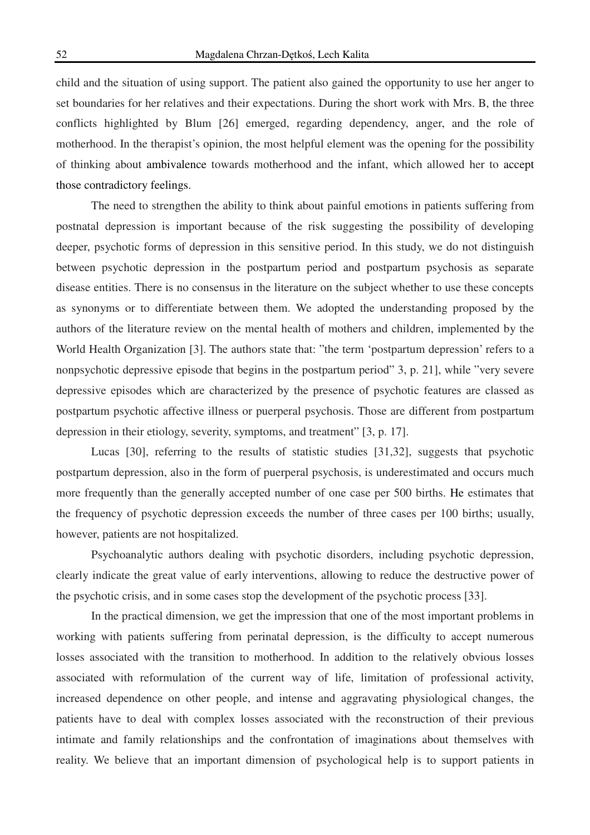child and the situation of using support. The patient also gained the opportunity to use her anger to set boundaries for her relatives and their expectations. During the short work with Mrs. B, the three conflicts highlighted by Blum [26] emerged, regarding dependency, anger, and the role of motherhood. In the therapist's opinion, the most helpful element was the opening for the possibility of thinking about ambivalence towards motherhood and the infant, which allowed her to accept those contradictory feelings.

The need to strengthen the ability to think about painful emotions in patients suffering from postnatal depression is important because of the risk suggesting the possibility of developing deeper, psychotic forms of depression in this sensitive period. In this study, we do not distinguish between psychotic depression in the postpartum period and postpartum psychosis as separate disease entities. There is no consensus in the literature on the subject whether to use these concepts as synonyms or to differentiate between them. We adopted the understanding proposed by the authors of the literature review on the mental health of mothers and children, implemented by the World Health Organization [3]. The authors state that: "the term 'postpartum depression' refers to a nonpsychotic depressive episode that begins in the postpartum period" 3, p. 21], while "very severe depressive episodes which are characterized by the presence of psychotic features are classed as postpartum psychotic affective illness or puerperal psychosis. Those are different from postpartum depression in their etiology, severity, symptoms, and treatment" [3, p. 17].

Lucas [30], referring to the results of statistic studies [31,32], suggests that psychotic postpartum depression, also in the form of puerperal psychosis, is underestimated and occurs much more frequently than the generally accepted number of one case per 500 births. He estimates that the frequency of psychotic depression exceeds the number of three cases per 100 births; usually, however, patients are not hospitalized.

Psychoanalytic authors dealing with psychotic disorders, including psychotic depression, clearly indicate the great value of early interventions, allowing to reduce the destructive power of the psychotic crisis, and in some cases stop the development of the psychotic process [33].

In the practical dimension, we get the impression that one of the most important problems in working with patients suffering from perinatal depression, is the difficulty to accept numerous losses associated with the transition to motherhood. In addition to the relatively obvious losses associated with reformulation of the current way of life, limitation of professional activity, increased dependence on other people, and intense and aggravating physiological changes, the patients have to deal with complex losses associated with the reconstruction of their previous intimate and family relationships and the confrontation of imaginations about themselves with reality. We believe that an important dimension of psychological help is to support patients in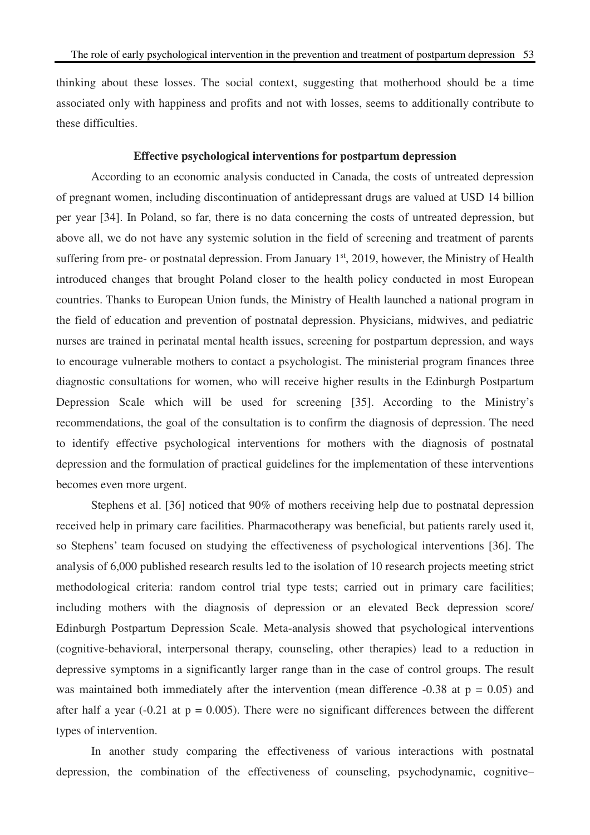thinking about these losses. The social context, suggesting that motherhood should be a time associated only with happiness and profits and not with losses, seems to additionally contribute to these difficulties.

#### **Effective psychological interventions for postpartum depression**

According to an economic analysis conducted in Canada, the costs of untreated depression of pregnant women, including discontinuation of antidepressant drugs are valued at USD 14 billion per year [34]. In Poland, so far, there is no data concerning the costs of untreated depression, but above all, we do not have any systemic solution in the field of screening and treatment of parents suffering from pre- or postnatal depression. From January  $1<sup>st</sup>$ , 2019, however, the Ministry of Health introduced changes that brought Poland closer to the health policy conducted in most European countries. Thanks to European Union funds, the Ministry of Health launched a national program in the field of education and prevention of postnatal depression. Physicians, midwives, and pediatric nurses are trained in perinatal mental health issues, screening for postpartum depression, and ways to encourage vulnerable mothers to contact a psychologist. The ministerial program finances three diagnostic consultations for women, who will receive higher results in the Edinburgh Postpartum Depression Scale which will be used for screening [35]. According to the Ministry's recommendations, the goal of the consultation is to confirm the diagnosis of depression. The need to identify effective psychological interventions for mothers with the diagnosis of postnatal depression and the formulation of practical guidelines for the implementation of these interventions becomes even more urgent.

Stephens et al. [36] noticed that 90% of mothers receiving help due to postnatal depression received help in primary care facilities. Pharmacotherapy was beneficial, but patients rarely used it, so Stephens' team focused on studying the effectiveness of psychological interventions [36]. The analysis of 6,000 published research results led to the isolation of 10 research projects meeting strict methodological criteria: random control trial type tests; carried out in primary care facilities; including mothers with the diagnosis of depression or an elevated Beck depression score/ Edinburgh Postpartum Depression Scale. Meta-analysis showed that psychological interventions (cognitive-behavioral, interpersonal therapy, counseling, other therapies) lead to a reduction in depressive symptoms in a significantly larger range than in the case of control groups. The result was maintained both immediately after the intervention (mean difference  $-0.38$  at  $p = 0.05$ ) and after half a year  $(-0.21$  at  $p = 0.005)$ . There were no significant differences between the different types of intervention.

In another study comparing the effectiveness of various interactions with postnatal depression, the combination of the effectiveness of counseling, psychodynamic, cognitive–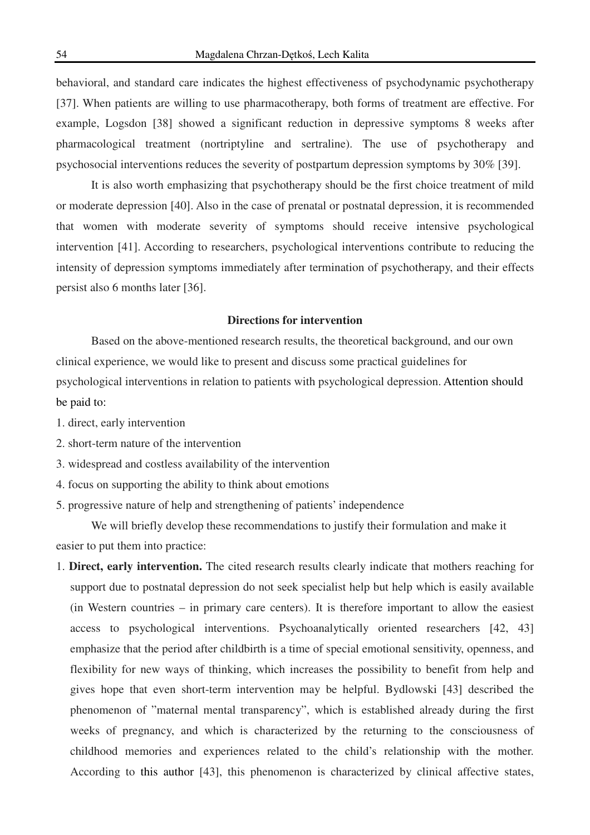behavioral, and standard care indicates the highest effectiveness of psychodynamic psychotherapy [37]. When patients are willing to use pharmacotherapy, both forms of treatment are effective. For example, Logsdon [38] showed a significant reduction in depressive symptoms 8 weeks after pharmacological treatment (nortriptyline and sertraline). The use of psychotherapy and psychosocial interventions reduces the severity of postpartum depression symptoms by 30% [39].

It is also worth emphasizing that psychotherapy should be the first choice treatment of mild or moderate depression [40]. Also in the case of prenatal or postnatal depression, it is recommended that women with moderate severity of symptoms should receive intensive psychological intervention [41]. According to researchers, psychological interventions contribute to reducing the intensity of depression symptoms immediately after termination of psychotherapy, and their effects persist also 6 months later [36].

## **Directions for intervention**

Based on the above-mentioned research results, the theoretical background, and our own clinical experience, we would like to present and discuss some practical guidelines for psychological interventions in relation to patients with psychological depression. Attention should be paid to:

- 1. direct, early intervention
- 2. short-term nature of the intervention
- 3. widespread and costless availability of the intervention
- 4. focus on supporting the ability to think about emotions
- 5. progressive nature of help and strengthening of patients' independence

We will briefly develop these recommendations to justify their formulation and make it easier to put them into practice:

1. **Direct, early intervention.** The cited research results clearly indicate that mothers reaching for support due to postnatal depression do not seek specialist help but help which is easily available (in Western countries – in primary care centers). It is therefore important to allow the easiest access to psychological interventions. Psychoanalytically oriented researchers [42, 43] emphasize that the period after childbirth is a time of special emotional sensitivity, openness, and flexibility for new ways of thinking, which increases the possibility to benefit from help and gives hope that even short-term intervention may be helpful. Bydlowski [43] described the phenomenon of "maternal mental transparency", which is established already during the first weeks of pregnancy, and which is characterized by the returning to the consciousness of childhood memories and experiences related to the child's relationship with the mother. According to this author [43], this phenomenon is characterized by clinical affective states,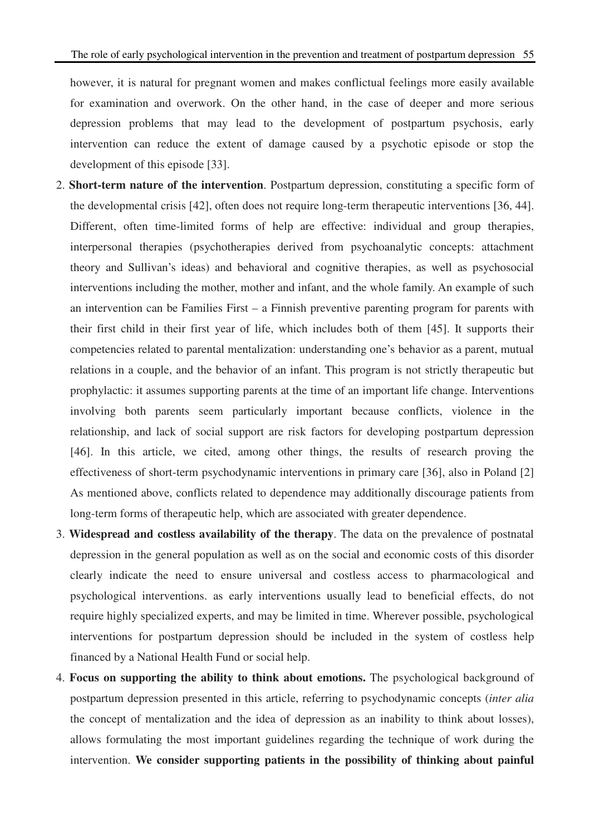however, it is natural for pregnant women and makes conflictual feelings more easily available for examination and overwork. On the other hand, in the case of deeper and more serious depression problems that may lead to the development of postpartum psychosis, early intervention can reduce the extent of damage caused by a psychotic episode or stop the development of this episode [33].

- 2. **Short-term nature of the intervention**. Postpartum depression, constituting a specific form of the developmental crisis [42], often does not require long-term therapeutic interventions [36, 44]. Different, often time-limited forms of help are effective: individual and group therapies, interpersonal therapies (psychotherapies derived from psychoanalytic concepts: attachment theory and Sullivan's ideas) and behavioral and cognitive therapies, as well as psychosocial interventions including the mother, mother and infant, and the whole family. An example of such an intervention can be Families First – a Finnish preventive parenting program for parents with their first child in their first year of life, which includes both of them [45]. It supports their competencies related to parental mentalization: understanding one's behavior as a parent, mutual relations in a couple, and the behavior of an infant. This program is not strictly therapeutic but prophylactic: it assumes supporting parents at the time of an important life change. Interventions involving both parents seem particularly important because conflicts, violence in the relationship, and lack of social support are risk factors for developing postpartum depression [46]. In this article, we cited, among other things, the results of research proving the effectiveness of short-term psychodynamic interventions in primary care [36], also in Poland [2] As mentioned above, conflicts related to dependence may additionally discourage patients from long-term forms of therapeutic help, which are associated with greater dependence.
- 3. **Widespread and costless availability of the therapy**. The data on the prevalence of postnatal depression in the general population as well as on the social and economic costs of this disorder clearly indicate the need to ensure universal and costless access to pharmacological and psychological interventions. as early interventions usually lead to beneficial effects, do not require highly specialized experts, and may be limited in time. Wherever possible, psychological interventions for postpartum depression should be included in the system of costless help financed by a National Health Fund or social help.
- 4. **Focus on supporting the ability to think about emotions.** The psychological background of postpartum depression presented in this article, referring to psychodynamic concepts (*inter alia* the concept of mentalization and the idea of depression as an inability to think about losses), allows formulating the most important guidelines regarding the technique of work during the intervention. **We consider supporting patients in the possibility of thinking about painful**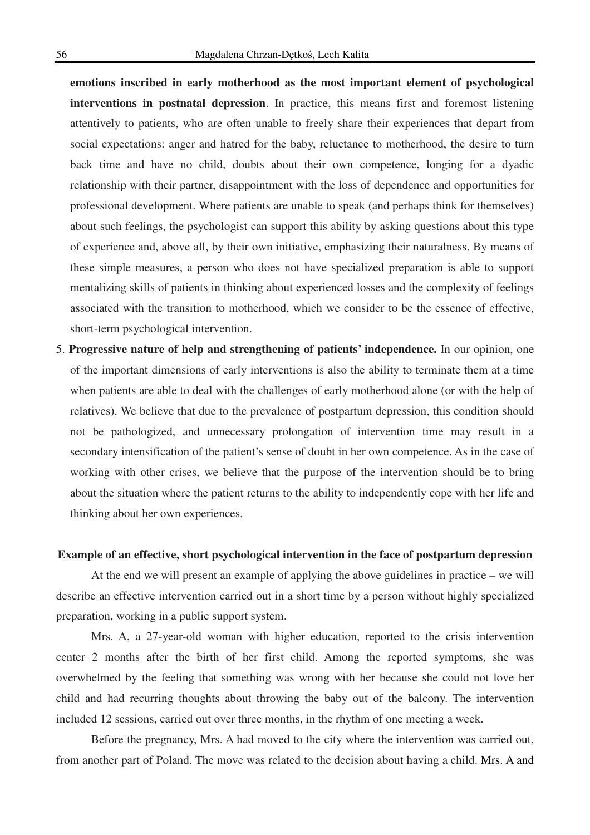**emotions inscribed in early motherhood as the most important element of psychological interventions in postnatal depression**. In practice, this means first and foremost listening attentively to patients, who are often unable to freely share their experiences that depart from social expectations: anger and hatred for the baby, reluctance to motherhood, the desire to turn back time and have no child, doubts about their own competence, longing for a dyadic relationship with their partner, disappointment with the loss of dependence and opportunities for professional development. Where patients are unable to speak (and perhaps think for themselves) about such feelings, the psychologist can support this ability by asking questions about this type of experience and, above all, by their own initiative, emphasizing their naturalness. By means of these simple measures, a person who does not have specialized preparation is able to support mentalizing skills of patients in thinking about experienced losses and the complexity of feelings associated with the transition to motherhood, which we consider to be the essence of effective, short-term psychological intervention.

5. **Progressive nature of help and strengthening of patients' independence.** In our opinion, one of the important dimensions of early interventions is also the ability to terminate them at a time when patients are able to deal with the challenges of early motherhood alone (or with the help of relatives). We believe that due to the prevalence of postpartum depression, this condition should not be pathologized, and unnecessary prolongation of intervention time may result in a secondary intensification of the patient's sense of doubt in her own competence. As in the case of working with other crises, we believe that the purpose of the intervention should be to bring about the situation where the patient returns to the ability to independently cope with her life and thinking about her own experiences.

#### **Example of an effective, short psychological intervention in the face of postpartum depression**

At the end we will present an example of applying the above guidelines in practice – we will describe an effective intervention carried out in a short time by a person without highly specialized preparation, working in a public support system.

Mrs. A, a 27-year-old woman with higher education, reported to the crisis intervention center 2 months after the birth of her first child. Among the reported symptoms, she was overwhelmed by the feeling that something was wrong with her because she could not love her child and had recurring thoughts about throwing the baby out of the balcony. The intervention included 12 sessions, carried out over three months, in the rhythm of one meeting a week.

Before the pregnancy, Mrs. A had moved to the city where the intervention was carried out, from another part of Poland. The move was related to the decision about having a child. Mrs. A and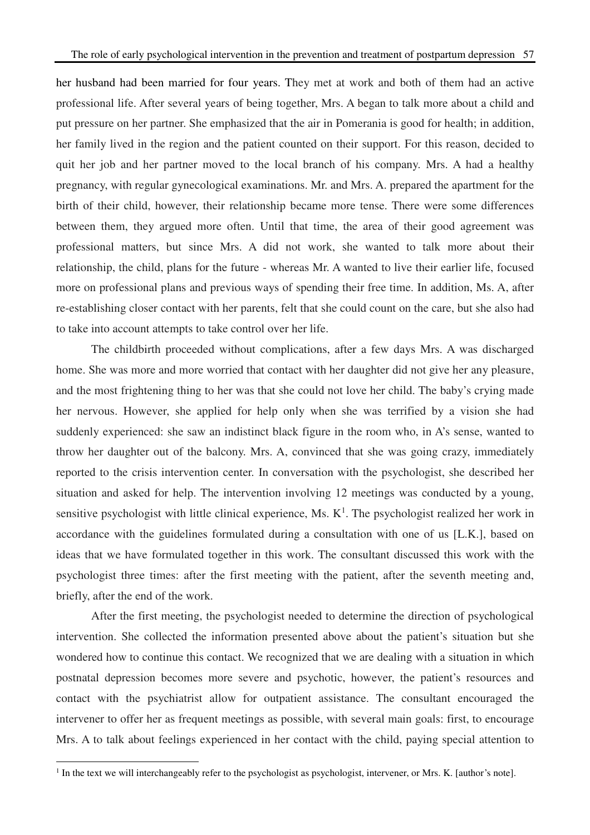her husband had been married for four years. They met at work and both of them had an active professional life. After several years of being together, Mrs. A began to talk more about a child and put pressure on her partner. She emphasized that the air in Pomerania is good for health; in addition, her family lived in the region and the patient counted on their support. For this reason, decided to quit her job and her partner moved to the local branch of his company. Mrs. A had a healthy pregnancy, with regular gynecological examinations. Mr. and Mrs. A. prepared the apartment for the birth of their child, however, their relationship became more tense. There were some differences between them, they argued more often. Until that time, the area of their good agreement was professional matters, but since Mrs. A did not work, she wanted to talk more about their relationship, the child, plans for the future - whereas Mr. A wanted to live their earlier life, focused more on professional plans and previous ways of spending their free time. In addition, Ms. A, after re-establishing closer contact with her parents, felt that she could count on the care, but she also had to take into account attempts to take control over her life.

The childbirth proceeded without complications, after a few days Mrs. A was discharged home. She was more and more worried that contact with her daughter did not give her any pleasure, and the most frightening thing to her was that she could not love her child. The baby's crying made her nervous. However, she applied for help only when she was terrified by a vision she had suddenly experienced: she saw an indistinct black figure in the room who, in A's sense, wanted to throw her daughter out of the balcony. Mrs. A, convinced that she was going crazy, immediately reported to the crisis intervention center. In conversation with the psychologist, she described her situation and asked for help. The intervention involving 12 meetings was conducted by a young, sensitive psychologist with little clinical experience, Ms.  $K^1$ . The psychologist realized her work in accordance with the guidelines formulated during a consultation with one of us [L.K.], based on ideas that we have formulated together in this work. The consultant discussed this work with the psychologist three times: after the first meeting with the patient, after the seventh meeting and, briefly, after the end of the work.

After the first meeting, the psychologist needed to determine the direction of psychological intervention. She collected the information presented above about the patient's situation but she wondered how to continue this contact. We recognized that we are dealing with a situation in which postnatal depression becomes more severe and psychotic, however, the patient's resources and contact with the psychiatrist allow for outpatient assistance. The consultant encouraged the intervener to offer her as frequent meetings as possible, with several main goals: first, to encourage Mrs. A to talk about feelings experienced in her contact with the child, paying special attention to

 $\overline{a}$ 

 $<sup>1</sup>$  In the text we will interchangeably refer to the psychologist as psychologist, intervener, or Mrs. K. [author's note].</sup>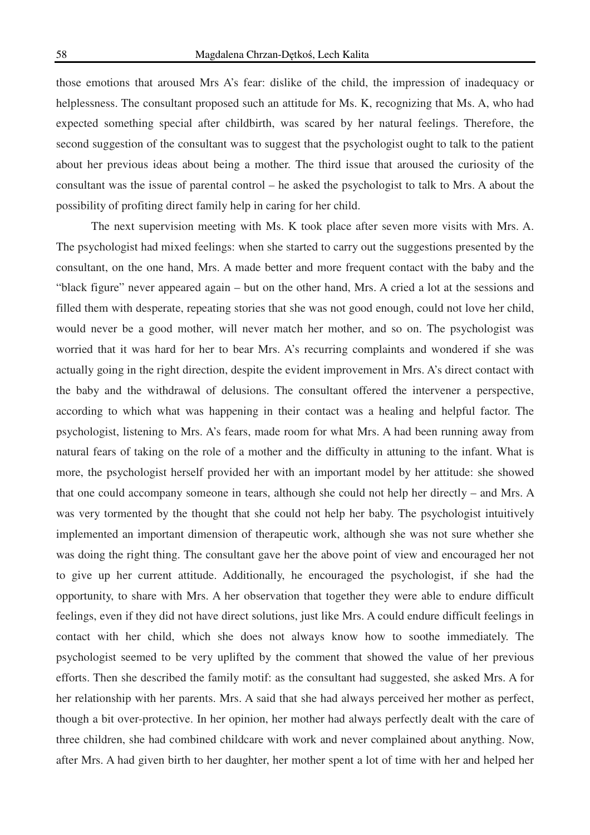those emotions that aroused Mrs A's fear: dislike of the child, the impression of inadequacy or helplessness. The consultant proposed such an attitude for Ms. K, recognizing that Ms. A, who had expected something special after childbirth, was scared by her natural feelings. Therefore, the second suggestion of the consultant was to suggest that the psychologist ought to talk to the patient about her previous ideas about being a mother. The third issue that aroused the curiosity of the consultant was the issue of parental control – he asked the psychologist to talk to Mrs. A about the possibility of profiting direct family help in caring for her child.

The next supervision meeting with Ms. K took place after seven more visits with Mrs. A. The psychologist had mixed feelings: when she started to carry out the suggestions presented by the consultant, on the one hand, Mrs. A made better and more frequent contact with the baby and the "black figure" never appeared again – but on the other hand, Mrs. A cried a lot at the sessions and filled them with desperate, repeating stories that she was not good enough, could not love her child, would never be a good mother, will never match her mother, and so on. The psychologist was worried that it was hard for her to bear Mrs. A's recurring complaints and wondered if she was actually going in the right direction, despite the evident improvement in Mrs. A's direct contact with the baby and the withdrawal of delusions. The consultant offered the intervener a perspective, according to which what was happening in their contact was a healing and helpful factor. The psychologist, listening to Mrs. A's fears, made room for what Mrs. A had been running away from natural fears of taking on the role of a mother and the difficulty in attuning to the infant. What is more, the psychologist herself provided her with an important model by her attitude: she showed that one could accompany someone in tears, although she could not help her directly – and Mrs. A was very tormented by the thought that she could not help her baby. The psychologist intuitively implemented an important dimension of therapeutic work, although she was not sure whether she was doing the right thing. The consultant gave her the above point of view and encouraged her not to give up her current attitude. Additionally, he encouraged the psychologist, if she had the opportunity, to share with Mrs. A her observation that together they were able to endure difficult feelings, even if they did not have direct solutions, just like Mrs. A could endure difficult feelings in contact with her child, which she does not always know how to soothe immediately. The psychologist seemed to be very uplifted by the comment that showed the value of her previous efforts. Then she described the family motif: as the consultant had suggested, she asked Mrs. A for her relationship with her parents. Mrs. A said that she had always perceived her mother as perfect, though a bit over-protective. In her opinion, her mother had always perfectly dealt with the care of three children, she had combined childcare with work and never complained about anything. Now, after Mrs. A had given birth to her daughter, her mother spent a lot of time with her and helped her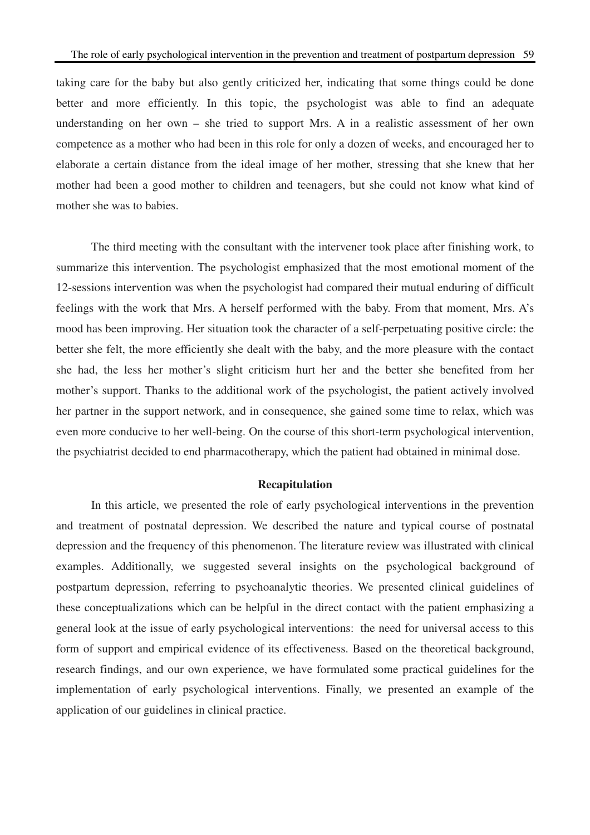taking care for the baby but also gently criticized her, indicating that some things could be done better and more efficiently. In this topic, the psychologist was able to find an adequate understanding on her own – she tried to support Mrs. A in a realistic assessment of her own competence as a mother who had been in this role for only a dozen of weeks, and encouraged her to elaborate a certain distance from the ideal image of her mother, stressing that she knew that her mother had been a good mother to children and teenagers, but she could not know what kind of mother she was to babies.

The third meeting with the consultant with the intervener took place after finishing work, to summarize this intervention. The psychologist emphasized that the most emotional moment of the 12-sessions intervention was when the psychologist had compared their mutual enduring of difficult feelings with the work that Mrs. A herself performed with the baby. From that moment, Mrs. A's mood has been improving. Her situation took the character of a self-perpetuating positive circle: the better she felt, the more efficiently she dealt with the baby, and the more pleasure with the contact she had, the less her mother's slight criticism hurt her and the better she benefited from her mother's support. Thanks to the additional work of the psychologist, the patient actively involved her partner in the support network, and in consequence, she gained some time to relax, which was even more conducive to her well-being. On the course of this short-term psychological intervention, the psychiatrist decided to end pharmacotherapy, which the patient had obtained in minimal dose.

#### **Recapitulation**

In this article, we presented the role of early psychological interventions in the prevention and treatment of postnatal depression. We described the nature and typical course of postnatal depression and the frequency of this phenomenon. The literature review was illustrated with clinical examples. Additionally, we suggested several insights on the psychological background of postpartum depression, referring to psychoanalytic theories. We presented clinical guidelines of these conceptualizations which can be helpful in the direct contact with the patient emphasizing a general look at the issue of early psychological interventions: the need for universal access to this form of support and empirical evidence of its effectiveness. Based on the theoretical background, research findings, and our own experience, we have formulated some practical guidelines for the implementation of early psychological interventions. Finally, we presented an example of the application of our guidelines in clinical practice.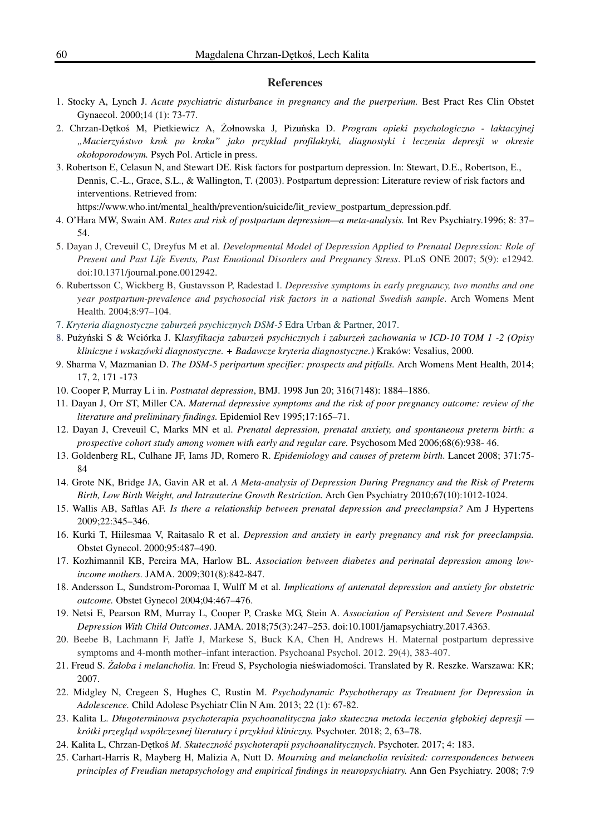#### **References**

- 1. Stocky A, Lynch J. *Acute psychiatric disturbance in pregnancy and the puerperium.* Best Pract Res Clin Obstet Gynaecol. 2000;14 (1): 73-77.
- 2. Chrzan-Dętkoś M, Pietkiewicz A, Żołnowska J*,* Pizuńska D. *Program opieki psychologiczno laktacyjnej "Macierzyństwo krok po kroku" jako przykład profilaktyki, diagnostyki i leczenia depresji w okresie okołoporodowym.* Psych Pol. Article in press.
- 3. Robertson E, Celasun N, and Stewart DE. Risk factors for postpartum depression. In: Stewart, D.E., Robertson, E., Dennis, C.-L., Grace, S.L., & Wallington, T. (2003). Postpartum depression: Literature review of risk factors and interventions. Retrieved from:

https://www.who.int/mental\_health/prevention/suicide/lit\_review\_postpartum\_depression.pdf.

- 4. O'Hara MW, Swain AM. *Rates and risk of postpartum depression—a meta-analysis.* Int Rev Psychiatry.1996; 8: 37– 54.
- 5. Dayan J, Creveuil C, Dreyfus M et al. *Developmental Model of Depression Applied to Prenatal Depression: Role of Present and Past Life Events, Past Emotional Disorders and Pregnancy Stress*. PLoS ONE 2007; 5(9): e12942. doi:10.1371/journal.pone.0012942.
- 6. Rubertsson C, Wickberg B, Gustavsson P, Radestad I. *Depressive symptoms in early pregnancy, two months and one year postpartum-prevalence and psychosocial risk factors in a national Swedish sample*. Arch Womens Ment Health. 2004;8:97–104.
- 7. *Kryteria diagnostyczne zaburzeń psychicznych DSM-5* Edra Urban & Partner, 2017.
- 8. Pużyński S & Wciórka J. K*lasyfikacja zaburzeń psychicznych i zaburzeń zachowania w ICD-10 TOM 1 -2 (Opisy kliniczne i wskazówki diagnostyczne. + Badawcze kryteria diagnostyczne.)* Kraków: Vesalius, 2000.
- 9. Sharma V, Mazmanian D. *The DSM-5 peripartum specifier: prospects and pitfalls.* Arch Womens Ment Health, 2014; 17, 2, 171 -173
- 10. Cooper P, Murray L i in. *Postnatal depression*, BMJ. 1998 Jun 20; 316(7148): 1884–1886.
- 11. Dayan J, Orr ST, Miller CA. *Maternal depressive symptoms and the risk of poor pregnancy outcome: review of the literature and preliminary findings.* Epidemiol Rev 1995;17:165–71.
- 12. Dayan J, Creveuil C, Marks MN et al. *Prenatal depression, prenatal anxiety, and spontaneous preterm birth: a prospective cohort study among women with early and regular care.* Psychosom Med 2006;68(6):938- 46.
- 13. Goldenberg RL, Culhane JF, Iams JD, Romero R. *Epidemiology and causes of preterm birth*. Lancet 2008; 371:75- 84
- 14. Grote NK, Bridge JA, Gavin AR et al. *A Meta-analysis of Depression During Pregnancy and the Risk of Preterm Birth, Low Birth Weight, and Intrauterine Growth Restriction.* Arch Gen Psychiatry 2010;67(10):1012-1024.
- 15. Wallis AB, Saftlas AF. *Is there a relationship between prenatal depression and preeclampsia?* Am J Hypertens 2009;22:345–346.
- 16. Kurki T, Hiilesmaa V, Raitasalo R et al. *Depression and anxiety in early pregnancy and risk for preeclampsia.*  Obstet Gynecol. 2000;95:487–490.
- 17. Kozhimannil KB, Pereira MA, Harlow BL. *Association between diabetes and perinatal depression among lowincome mothers.* JAMA. 2009;301(8):842-847.
- 18. Andersson L, Sundstrom-Poromaa I, Wulff M et al. *Implications of antenatal depression and anxiety for obstetric outcome.* Obstet Gynecol 2004;04:467–476.
- 19. Netsi E, Pearson RM, Murray L, Cooper P, Craske MG, Stein A. *Association of Persistent and Severe Postnatal Depression With Child Outcomes*. JAMA. 2018;75(3):247–253. doi:10.1001/jamapsychiatry.2017.4363.
- 20. Beebe B, Lachmann F, Jaffe J, Markese S, Buck KA, Chen H, Andrews H. Maternal postpartum depressive symptoms and 4-month mother–infant interaction. Psychoanal Psychol. 2012. 29(4), 383-407.
- 21. Freud S. *Żałoba i melancholia.* In: Freud S, Psychologia nieświadomości. Translated by R. Reszke. Warszawa: KR; 2007.
- 22. Midgley N, Cregeen S, Hughes C, Rustin M. *Psychodynamic Psychotherapy as Treatment for Depression in Adolescence.* Child Adolesc Psychiatr Clin N Am. 2013; 22 (1): 67-82.
- 23. Kalita L. *Długoterminowa psychoterapia psychoanalityczna jako skuteczna metoda leczenia głębokiej depresji krótki przegląd współczesnej literatury i przykład kliniczny.* Psychoter. 2018; 2, 63–78.
- 24. Kalita L, Chrzan-Dętkoś *M. Skuteczność psychoterapii psychoanalitycznych*. Psychoter. 2017; 4: 183.
- 25. Carhart-Harris R, Mayberg H, Malizia A, Nutt D. *Mourning and melancholia revisited: correspondences between principles of Freudian metapsychology and empirical findings in neuropsychiatry.* Ann Gen Psychiatry. 2008; 7:9